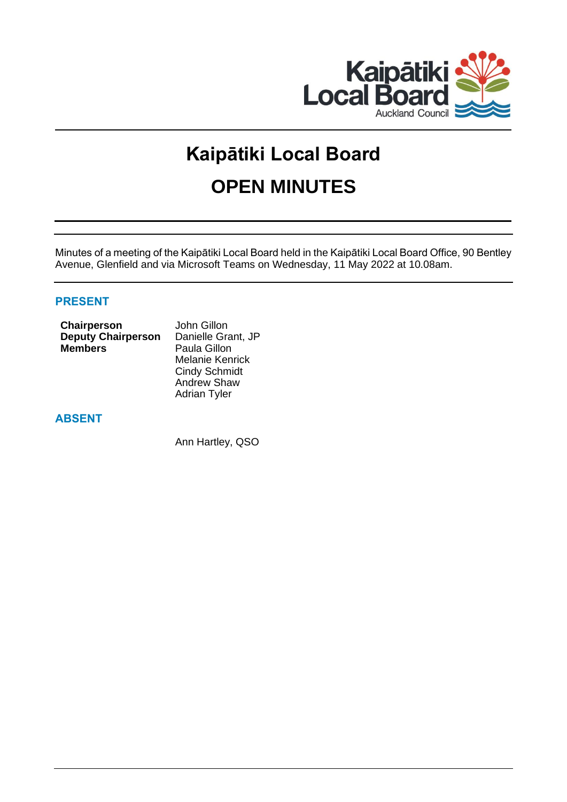

# **Kaipātiki Local Board OPEN MINUTES**

Minutes of a meeting of the Kaipātiki Local Board held in the Kaipātiki Local Board Office, 90 Bentley Avenue, Glenfield and via Microsoft Teams on Wednesday, 11 May 2022 at 10.08am.

# **PRESENT**

| Chairperson               | John Gillon  |  |
|---------------------------|--------------|--|
| <b>Deputy Chairperson</b> | Danielle Gra |  |
| <b>Members</b>            | Paula Gillon |  |
|                           | Melanie Ker  |  |
|                           |              |  |

**Deputy Chairperson** Danielle Grant, JP nrick Cindy Schmidt Andrew Shaw Adrian Tyler

# **ABSENT**

Ann Hartley, QSO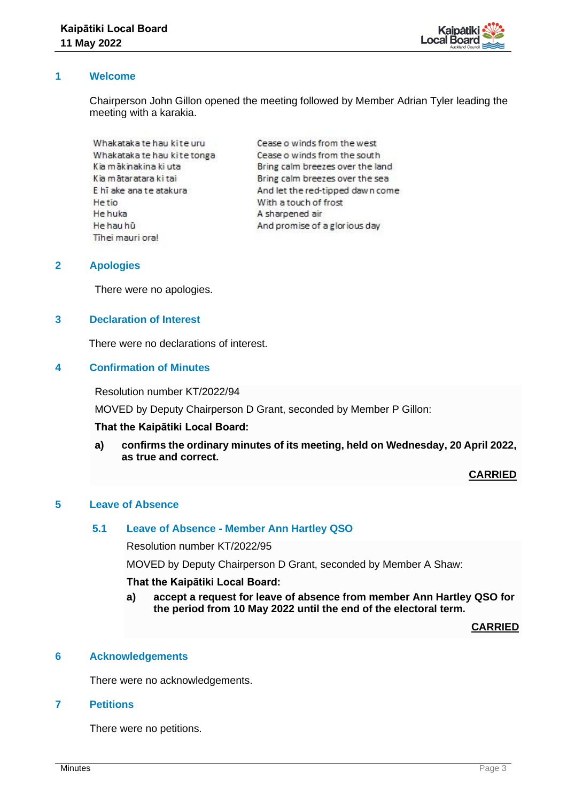

# **1 Welcome**

Chairperson John Gillon opened the meeting followed by Member Adrian Tyler leading the meeting with a karakia.

Whakataka te hau kite uru Whakataka te hau kite tonga Kia mākinakina ki uta Kia mātaratara ki tai E hī ake ana te atakura He tio He huka He hau hū Tihei mauri ora!

Cease o winds from the west Cease o winds from the south Bring calm breezes over the land Bring calm breezes over the sea And let the red-tipped dawn come With a touch of frost A sharpened air And promise of a glorious day

# **2 Apologies**

There were no apologies.

# **3 Declaration of Interest**

There were no declarations of interest.

# **4 Confirmation of Minutes**

Resolution number KT/2022/94

MOVED by Deputy Chairperson D Grant, seconded by Member P Gillon:

#### **That the Kaipātiki Local Board:**

**a) confirms the ordinary minutes of its meeting, held on Wednesday, 20 April 2022, as true and correct.**

**CARRIED**

#### **5 Leave of Absence**

# **5.1 Leave of Absence - Member Ann Hartley QSO**

Resolution number KT/2022/95

MOVED by Deputy Chairperson D Grant, seconded by Member A Shaw:

#### **That the Kaipātiki Local Board:**

**a) accept a request for leave of absence from member Ann Hartley QSO for the period from 10 May 2022 until the end of the electoral term.**

**CARRIED**

#### **6 Acknowledgements**

There were no acknowledgements.

# **7 Petitions**

There were no petitions.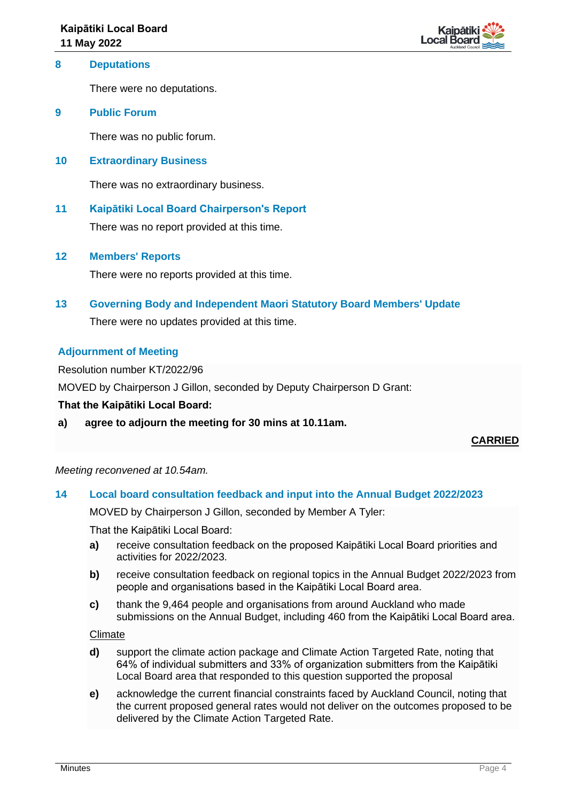

# **8 Deputations**

There were no deputations.

# **9 Public Forum**

There was no public forum.

# **10 Extraordinary Business**

There was no extraordinary business.

# **11 Kaipātiki Local Board Chairperson's Report** There was no report provided at this time.

# **12 Members' Reports**

There were no reports provided at this time.

# **13 Governing Body and Independent Maori Statutory Board Members' Update**

There were no updates provided at this time.

# **Adjournment of Meeting**

Resolution number KT/2022/96

MOVED by Chairperson J Gillon, seconded by Deputy Chairperson D Grant:

#### **That the Kaipātiki Local Board:**

**a) agree to adjourn the meeting for 30 mins at 10.11am.** 

**CARRIED**

#### *Meeting reconvened at 10.54am.*

#### **14 Local board consultation feedback and input into the Annual Budget 2022/2023**

MOVED by Chairperson J Gillon, seconded by Member A Tyler:

That the Kaipātiki Local Board:

- **a)** receive consultation feedback on the proposed Kaipātiki Local Board priorities and activities for 2022/2023.
- **b)** receive consultation feedback on regional topics in the Annual Budget 2022/2023 from people and organisations based in the Kaipātiki Local Board area.
- **c)** thank the 9,464 people and organisations from around Auckland who made submissions on the Annual Budget, including 460 from the Kaipātiki Local Board area.

#### Climate

- **d)** support the climate action package and Climate Action Targeted Rate, noting that 64% of individual submitters and 33% of organization submitters from the Kaipātiki Local Board area that responded to this question supported the proposal
- **e)** acknowledge the current financial constraints faced by Auckland Council, noting that the current proposed general rates would not deliver on the outcomes proposed to be delivered by the Climate Action Targeted Rate.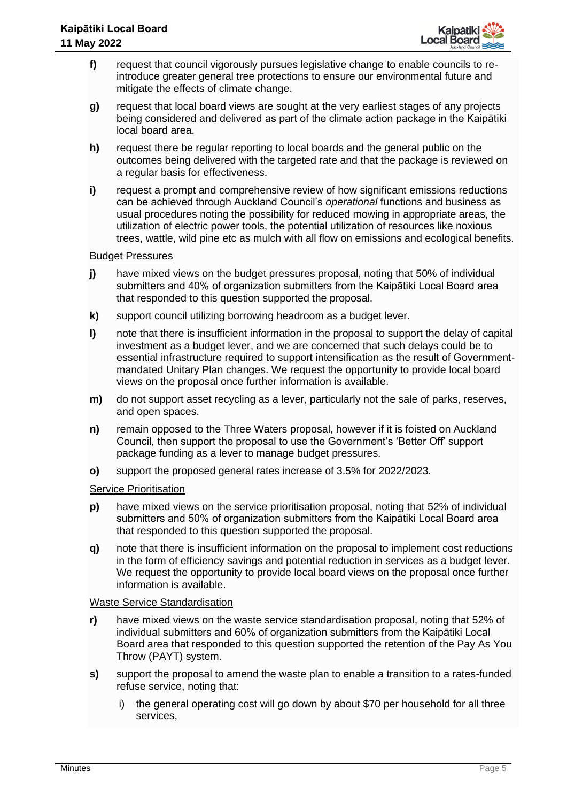

- **f)** request that council vigorously pursues legislative change to enable councils to reintroduce greater general tree protections to ensure our environmental future and mitigate the effects of climate change.
- **g)** request that local board views are sought at the very earliest stages of any projects being considered and delivered as part of the climate action package in the Kaipātiki local board area.
- **h)** request there be regular reporting to local boards and the general public on the outcomes being delivered with the targeted rate and that the package is reviewed on a regular basis for effectiveness.
- **i)** request a prompt and comprehensive review of how significant emissions reductions can be achieved through Auckland Council's *operational* functions and business as usual procedures noting the possibility for reduced mowing in appropriate areas, the utilization of electric power tools, the potential utilization of resources like noxious trees, wattle, wild pine etc as mulch with all flow on emissions and ecological benefits.

# Budget Pressures

- **j)** have mixed views on the budget pressures proposal, noting that 50% of individual submitters and 40% of organization submitters from the Kaipātiki Local Board area that responded to this question supported the proposal.
- **k)** support council utilizing borrowing headroom as a budget lever.
- **l)** note that there is insufficient information in the proposal to support the delay of capital investment as a budget lever, and we are concerned that such delays could be to essential infrastructure required to support intensification as the result of Governmentmandated Unitary Plan changes. We request the opportunity to provide local board views on the proposal once further information is available.
- **m)** do not support asset recycling as a lever, particularly not the sale of parks, reserves, and open spaces.
- **n)** remain opposed to the Three Waters proposal, however if it is foisted on Auckland Council, then support the proposal to use the Government's 'Better Off' support package funding as a lever to manage budget pressures.
- **o)** support the proposed general rates increase of 3.5% for 2022/2023.

# Service Prioritisation

- **p)** have mixed views on the service prioritisation proposal, noting that 52% of individual submitters and 50% of organization submitters from the Kaipātiki Local Board area that responded to this question supported the proposal.
- **q)** note that there is insufficient information on the proposal to implement cost reductions in the form of efficiency savings and potential reduction in services as a budget lever. We request the opportunity to provide local board views on the proposal once further information is available.

#### Waste Service Standardisation

- **r)** have mixed views on the waste service standardisation proposal, noting that 52% of individual submitters and 60% of organization submitters from the Kaipātiki Local Board area that responded to this question supported the retention of the Pay As You Throw (PAYT) system.
- **s)** support the proposal to amend the waste plan to enable a transition to a rates-funded refuse service, noting that:
	- i) the general operating cost will go down by about \$70 per household for all three services,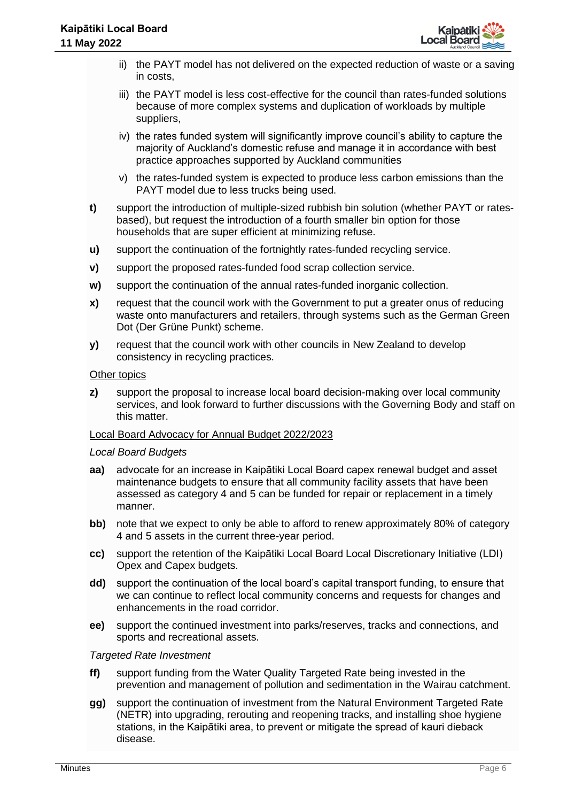

- ii) the PAYT model has not delivered on the expected reduction of waste or a saving in costs,
- iii) the PAYT model is less cost-effective for the council than rates-funded solutions because of more complex systems and duplication of workloads by multiple suppliers,
- iv) the rates funded system will significantly improve council's ability to capture the majority of Auckland's domestic refuse and manage it in accordance with best practice approaches supported by Auckland communities
- v) the rates-funded system is expected to produce less carbon emissions than the PAYT model due to less trucks being used.
- **t)** support the introduction of multiple-sized rubbish bin solution (whether PAYT or ratesbased), but request the introduction of a fourth smaller bin option for those households that are super efficient at minimizing refuse.
- **u)** support the continuation of the fortnightly rates-funded recycling service.
- **v)** support the proposed rates-funded food scrap collection service.
- **w)** support the continuation of the annual rates-funded inorganic collection.
- **x)** request that the council work with the Government to put a greater onus of reducing waste onto manufacturers and retailers, through systems such as the German Green Dot (Der Grüne Punkt) scheme.
- **y)** request that the council work with other councils in New Zealand to develop consistency in recycling practices.

#### Other topics

**z)** support the proposal to increase local board decision-making over local community services, and look forward to further discussions with the Governing Body and staff on this matter.

#### Local Board Advocacy for Annual Budget 2022/2023

#### *Local Board Budgets*

- **aa)** advocate for an increase in Kaipātiki Local Board capex renewal budget and asset maintenance budgets to ensure that all community facility assets that have been assessed as category 4 and 5 can be funded for repair or replacement in a timely manner.
- **bb)** note that we expect to only be able to afford to renew approximately 80% of category 4 and 5 assets in the current three-year period.
- **cc)** support the retention of the Kaipātiki Local Board Local Discretionary Initiative (LDI) Opex and Capex budgets.
- **dd)** support the continuation of the local board's capital transport funding, to ensure that we can continue to reflect local community concerns and requests for changes and enhancements in the road corridor.
- **ee)** support the continued investment into parks/reserves, tracks and connections, and sports and recreational assets.

#### *Targeted Rate Investment*

- **ff)** support funding from the Water Quality Targeted Rate being invested in the prevention and management of pollution and sedimentation in the Wairau catchment.
- **gg)** support the continuation of investment from the Natural Environment Targeted Rate (NETR) into upgrading, rerouting and reopening tracks, and installing shoe hygiene stations, in the Kaipātiki area, to prevent or mitigate the spread of kauri dieback disease.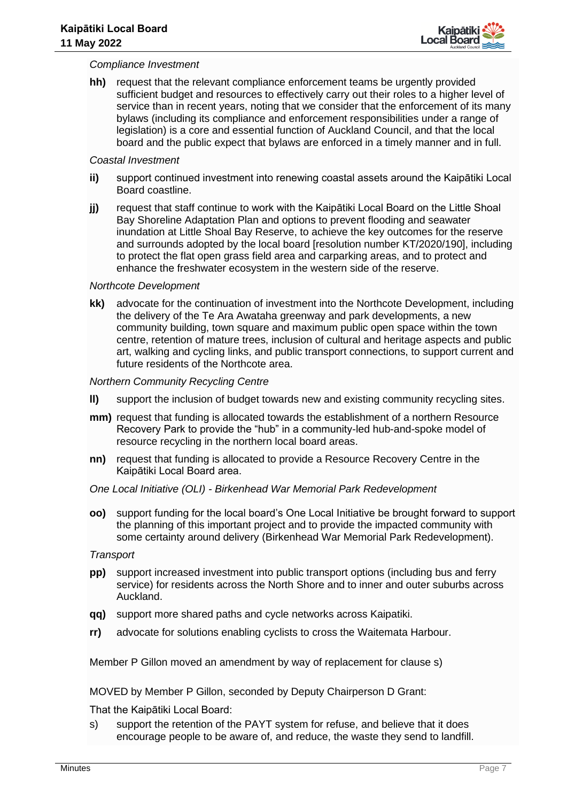

#### *Compliance Investment*

**hh)** request that the relevant compliance enforcement teams be urgently provided sufficient budget and resources to effectively carry out their roles to a higher level of service than in recent years, noting that we consider that the enforcement of its many bylaws (including its compliance and enforcement responsibilities under a range of legislation) is a core and essential function of Auckland Council, and that the local board and the public expect that bylaws are enforced in a timely manner and in full.

#### *Coastal Investment*

- **ii)** support continued investment into renewing coastal assets around the Kaipātiki Local Board coastline.
- **jj)** request that staff continue to work with the Kaipātiki Local Board on the Little Shoal Bay Shoreline Adaptation Plan and options to prevent flooding and seawater inundation at Little Shoal Bay Reserve, to achieve the key outcomes for the reserve and surrounds adopted by the local board [resolution number KT/2020/190], including to protect the flat open grass field area and carparking areas, and to protect and enhance the freshwater ecosystem in the western side of the reserve.

# *Northcote Development*

**kk)** advocate for the continuation of investment into the Northcote Development, including the delivery of the Te Ara Awataha greenway and park developments, a new community building, town square and maximum public open space within the town centre, retention of mature trees, inclusion of cultural and heritage aspects and public art, walking and cycling links, and public transport connections, to support current and future residents of the Northcote area.

# *Northern Community Recycling Centre*

- **ll)** support the inclusion of budget towards new and existing community recycling sites.
- **mm)** request that funding is allocated towards the establishment of a northern Resource Recovery Park to provide the "hub" in a community-led hub-and-spoke model of resource recycling in the northern local board areas.
- **nn)** request that funding is allocated to provide a Resource Recovery Centre in the Kaipātiki Local Board area.

# *One Local Initiative (OLI) - Birkenhead War Memorial Park Redevelopment*

**oo)** support funding for the local board's One Local Initiative be brought forward to support the planning of this important project and to provide the impacted community with some certainty around delivery (Birkenhead War Memorial Park Redevelopment).

#### *Transport*

- **pp)** support increased investment into public transport options (including bus and ferry service) for residents across the North Shore and to inner and outer suburbs across Auckland.
- **qq)** support more shared paths and cycle networks across Kaipatiki.
- **rr)** advocate for solutions enabling cyclists to cross the Waitemata Harbour.

Member P Gillon moved an amendment by way of replacement for clause s)

MOVED by Member P Gillon, seconded by Deputy Chairperson D Grant:

That the Kaipātiki Local Board:

s) support the retention of the PAYT system for refuse, and believe that it does encourage people to be aware of, and reduce, the waste they send to landfill.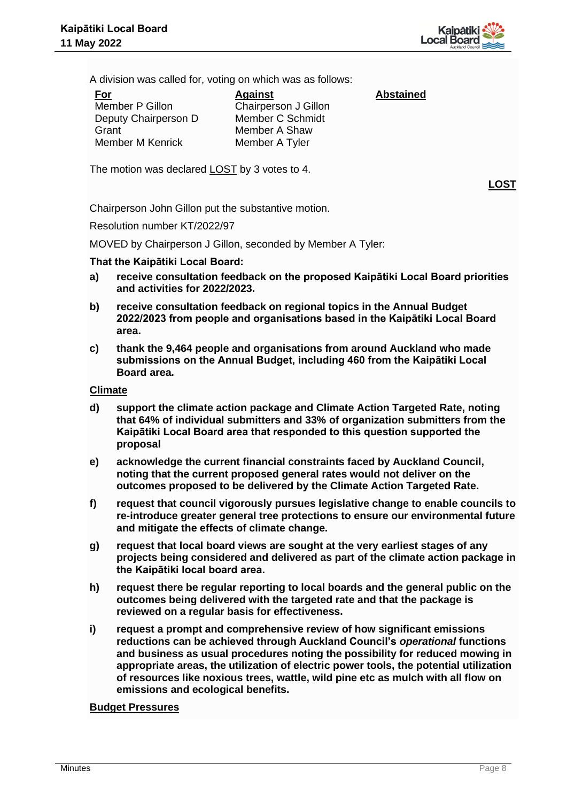

A division was called for, voting on which was as follows:

| <u>For</u>           | <b>Against</b>       | <b>Abstained</b> |
|----------------------|----------------------|------------------|
| Member P Gillon      | Chairperson J Gillon |                  |
| Deputy Chairperson D | Member C Schmidt     |                  |
| Grant                | Member A Shaw        |                  |
| Member M Kenrick     | Member A Tyler       |                  |

The motion was declared LOST by 3 votes to 4.

**LOST**

Chairperson John Gillon put the substantive motion.

Resolution number KT/2022/97

MOVED by Chairperson J Gillon, seconded by Member A Tyler:

# **That the Kaipātiki Local Board:**

- **a) receive consultation feedback on the proposed Kaipātiki Local Board priorities and activities for 2022/2023.**
- **b) receive consultation feedback on regional topics in the Annual Budget 2022/2023 from people and organisations based in the Kaipātiki Local Board area.**
- **c) thank the 9,464 people and organisations from around Auckland who made submissions on the Annual Budget, including 460 from the Kaipātiki Local Board area.**

# **Climate**

- **d) support the climate action package and Climate Action Targeted Rate, noting that 64% of individual submitters and 33% of organization submitters from the Kaipātiki Local Board area that responded to this question supported the proposal**
- **e) acknowledge the current financial constraints faced by Auckland Council, noting that the current proposed general rates would not deliver on the outcomes proposed to be delivered by the Climate Action Targeted Rate.**
- **f) request that council vigorously pursues legislative change to enable councils to re-introduce greater general tree protections to ensure our environmental future and mitigate the effects of climate change.**
- **g) request that local board views are sought at the very earliest stages of any projects being considered and delivered as part of the climate action package in the Kaipātiki local board area.**
- **h) request there be regular reporting to local boards and the general public on the outcomes being delivered with the targeted rate and that the package is reviewed on a regular basis for effectiveness.**
- **i) request a prompt and comprehensive review of how significant emissions reductions can be achieved through Auckland Council's** *operational* **functions and business as usual procedures noting the possibility for reduced mowing in appropriate areas, the utilization of electric power tools, the potential utilization of resources like noxious trees, wattle, wild pine etc as mulch with all flow on emissions and ecological benefits.**

# **Budget Pressures**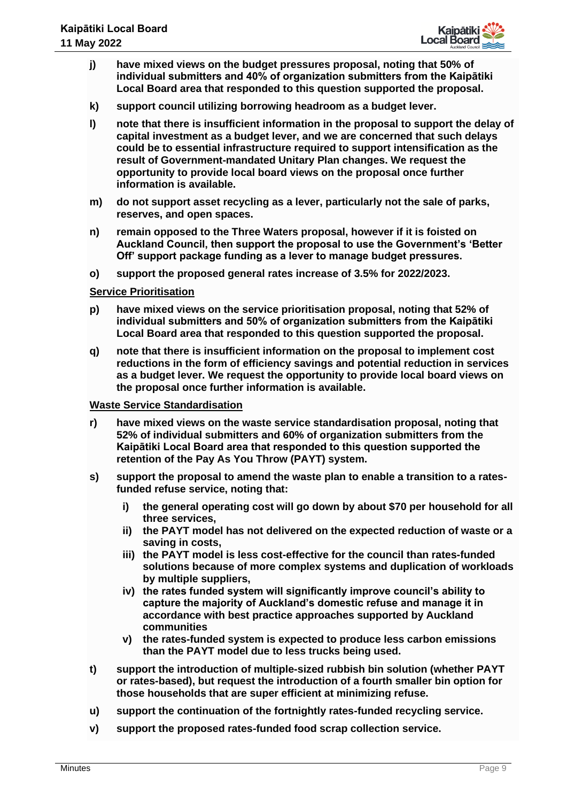

- **j) have mixed views on the budget pressures proposal, noting that 50% of individual submitters and 40% of organization submitters from the Kaipātiki Local Board area that responded to this question supported the proposal.**
- **k) support council utilizing borrowing headroom as a budget lever.**
- **l) note that there is insufficient information in the proposal to support the delay of capital investment as a budget lever, and we are concerned that such delays could be to essential infrastructure required to support intensification as the result of Government-mandated Unitary Plan changes. We request the opportunity to provide local board views on the proposal once further information is available.**
- **m) do not support asset recycling as a lever, particularly not the sale of parks, reserves, and open spaces.**
- **n) remain opposed to the Three Waters proposal, however if it is foisted on Auckland Council, then support the proposal to use the Government's 'Better Off' support package funding as a lever to manage budget pressures.**
- **o) support the proposed general rates increase of 3.5% for 2022/2023.**

# **Service Prioritisation**

- **p) have mixed views on the service prioritisation proposal, noting that 52% of individual submitters and 50% of organization submitters from the Kaipātiki Local Board area that responded to this question supported the proposal.**
- **q) note that there is insufficient information on the proposal to implement cost reductions in the form of efficiency savings and potential reduction in services as a budget lever. We request the opportunity to provide local board views on the proposal once further information is available.**

#### **Waste Service Standardisation**

- **r) have mixed views on the waste service standardisation proposal, noting that 52% of individual submitters and 60% of organization submitters from the Kaipātiki Local Board area that responded to this question supported the retention of the Pay As You Throw (PAYT) system.**
- **s) support the proposal to amend the waste plan to enable a transition to a ratesfunded refuse service, noting that:**
	- **i) the general operating cost will go down by about \$70 per household for all three services,**
	- **ii) the PAYT model has not delivered on the expected reduction of waste or a saving in costs,**
	- **iii) the PAYT model is less cost-effective for the council than rates-funded solutions because of more complex systems and duplication of workloads by multiple suppliers,**
	- **iv) the rates funded system will significantly improve council's ability to capture the majority of Auckland's domestic refuse and manage it in accordance with best practice approaches supported by Auckland communities**
	- **v) the rates-funded system is expected to produce less carbon emissions than the PAYT model due to less trucks being used.**
- **t) support the introduction of multiple-sized rubbish bin solution (whether PAYT or rates-based), but request the introduction of a fourth smaller bin option for those households that are super efficient at minimizing refuse.**
- **u) support the continuation of the fortnightly rates-funded recycling service.**
- **v) support the proposed rates-funded food scrap collection service.**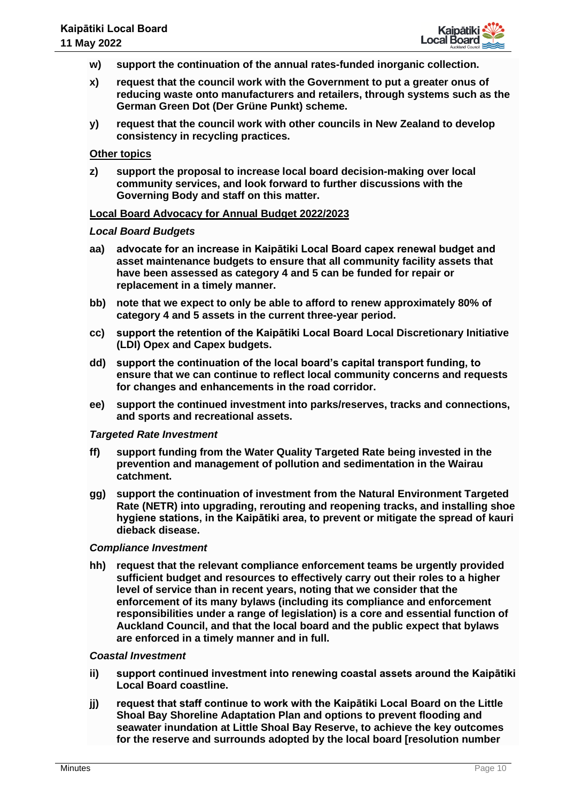

- **w) support the continuation of the annual rates-funded inorganic collection.**
- **x) request that the council work with the Government to put a greater onus of reducing waste onto manufacturers and retailers, through systems such as the German Green Dot (Der Grüne Punkt) scheme.**
- **y) request that the council work with other councils in New Zealand to develop consistency in recycling practices.**

#### **Other topics**

**z) support the proposal to increase local board decision-making over local community services, and look forward to further discussions with the Governing Body and staff on this matter.**

#### **Local Board Advocacy for Annual Budget 2022/2023**

#### *Local Board Budgets*

- **aa) advocate for an increase in Kaipātiki Local Board capex renewal budget and asset maintenance budgets to ensure that all community facility assets that have been assessed as category 4 and 5 can be funded for repair or replacement in a timely manner.**
- **bb) note that we expect to only be able to afford to renew approximately 80% of category 4 and 5 assets in the current three-year period.**
- **cc) support the retention of the Kaipātiki Local Board Local Discretionary Initiative (LDI) Opex and Capex budgets.**
- **dd) support the continuation of the local board's capital transport funding, to ensure that we can continue to reflect local community concerns and requests for changes and enhancements in the road corridor.**
- **ee) support the continued investment into parks/reserves, tracks and connections, and sports and recreational assets.**

#### *Targeted Rate Investment*

- **ff) support funding from the Water Quality Targeted Rate being invested in the prevention and management of pollution and sedimentation in the Wairau catchment.**
- **gg) support the continuation of investment from the Natural Environment Targeted Rate (NETR) into upgrading, rerouting and reopening tracks, and installing shoe hygiene stations, in the Kaipātiki area, to prevent or mitigate the spread of kauri dieback disease.**

#### *Compliance Investment*

**hh) request that the relevant compliance enforcement teams be urgently provided sufficient budget and resources to effectively carry out their roles to a higher level of service than in recent years, noting that we consider that the enforcement of its many bylaws (including its compliance and enforcement responsibilities under a range of legislation) is a core and essential function of Auckland Council, and that the local board and the public expect that bylaws are enforced in a timely manner and in full.**

#### *Coastal Investment*

- **ii) support continued investment into renewing coastal assets around the Kaipātiki Local Board coastline.**
- **jj) request that staff continue to work with the Kaipātiki Local Board on the Little Shoal Bay Shoreline Adaptation Plan and options to prevent flooding and seawater inundation at Little Shoal Bay Reserve, to achieve the key outcomes for the reserve and surrounds adopted by the local board [resolution number**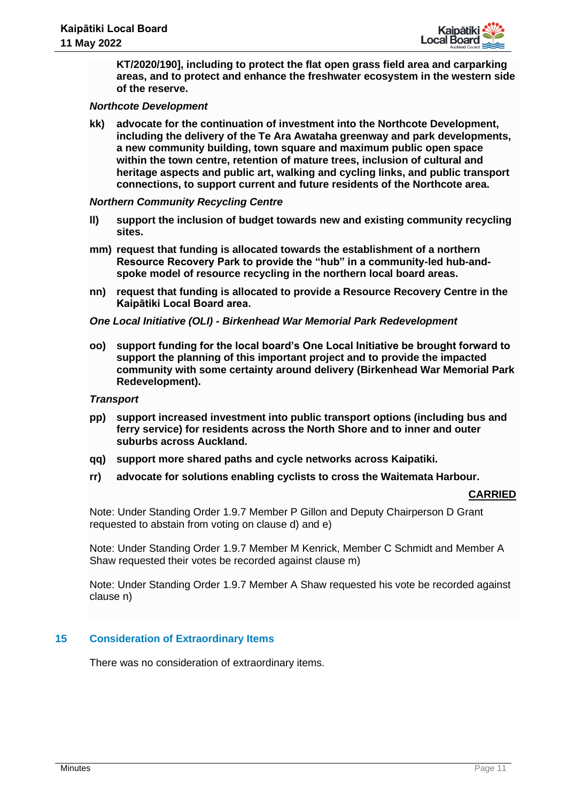

**KT/2020/190], including to protect the flat open grass field area and carparking areas, and to protect and enhance the freshwater ecosystem in the western side of the reserve.**

#### *Northcote Development*

**kk) advocate for the continuation of investment into the Northcote Development, including the delivery of the Te Ara Awataha greenway and park developments, a new community building, town square and maximum public open space within the town centre, retention of mature trees, inclusion of cultural and heritage aspects and public art, walking and cycling links, and public transport connections, to support current and future residents of the Northcote area.**

#### *Northern Community Recycling Centre*

- **ll) support the inclusion of budget towards new and existing community recycling sites.**
- **mm) request that funding is allocated towards the establishment of a northern Resource Recovery Park to provide the "hub" in a community-led hub-andspoke model of resource recycling in the northern local board areas.**
- **nn) request that funding is allocated to provide a Resource Recovery Centre in the Kaipātiki Local Board area.**

#### *One Local Initiative (OLI) - Birkenhead War Memorial Park Redevelopment*

**oo) support funding for the local board's One Local Initiative be brought forward to support the planning of this important project and to provide the impacted community with some certainty around delivery (Birkenhead War Memorial Park Redevelopment).**

#### *Transport*

- **pp) support increased investment into public transport options (including bus and ferry service) for residents across the North Shore and to inner and outer suburbs across Auckland.**
- **qq) support more shared paths and cycle networks across Kaipatiki.**
- **rr) advocate for solutions enabling cyclists to cross the Waitemata Harbour.**

#### **CARRIED**

Note: Under Standing Order 1.9.7 Member P Gillon and Deputy Chairperson D Grant requested to abstain from voting on clause d) and e)

Note: Under Standing Order 1.9.7 Member M Kenrick, Member C Schmidt and Member A Shaw requested their votes be recorded against clause m)

Note: Under Standing Order 1.9.7 Member A Shaw requested his vote be recorded against clause n)

#### **15 Consideration of Extraordinary Items**

There was no consideration of extraordinary items.